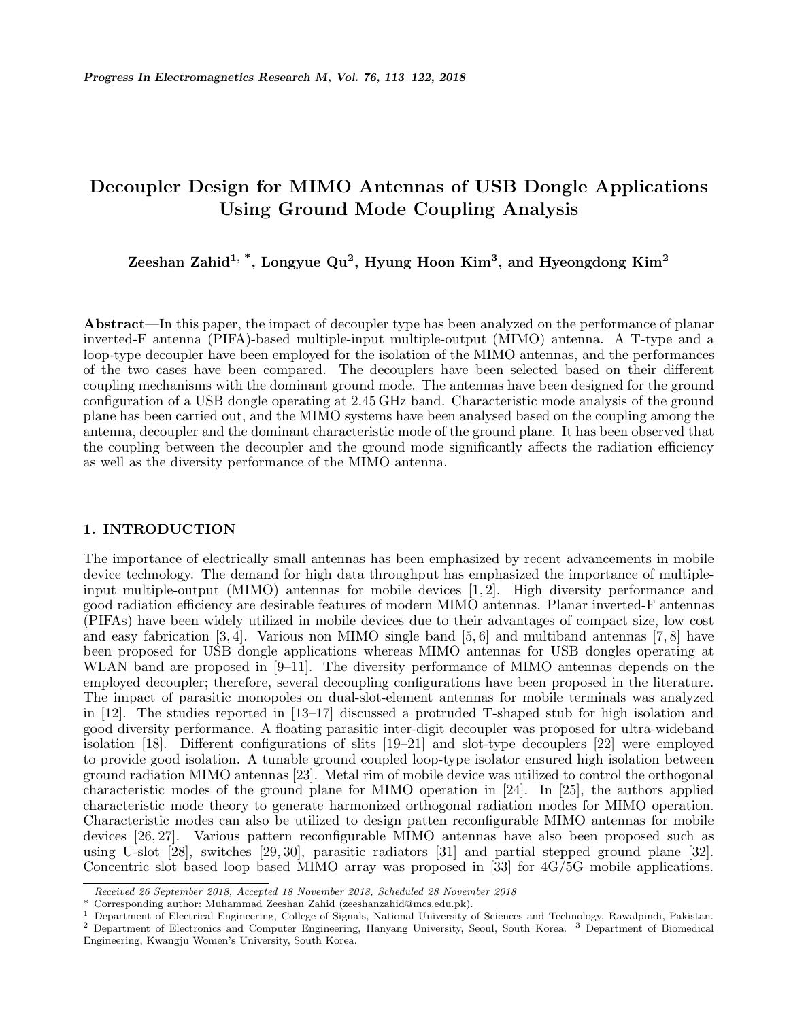# **Decoupler Design for MIMO Antennas of USB Dongle Applications Using Ground Mode Coupling Analysis**

**Zeeshan Zahid1, \*, Longyue Qu2, Hyung Hoon Kim3, and Hyeongdong Kim<sup>2</sup>**

**Abstract**—In this paper, the impact of decoupler type has been analyzed on the performance of planar inverted-F antenna (PIFA)-based multiple-input multiple-output (MIMO) antenna. A T-type and a loop-type decoupler have been employed for the isolation of the MIMO antennas, and the performances of the two cases have been compared. The decouplers have been selected based on their different coupling mechanisms with the dominant ground mode. The antennas have been designed for the ground configuration of a USB dongle operating at 2.45 GHz band. Characteristic mode analysis of the ground plane has been carried out, and the MIMO systems have been analysed based on the coupling among the antenna, decoupler and the dominant characteristic mode of the ground plane. It has been observed that the coupling between the decoupler and the ground mode significantly affects the radiation efficiency as well as the diversity performance of the MIMO antenna.

## **1. INTRODUCTION**

The importance of electrically small antennas has been emphasized by recent advancements in mobile device technology. The demand for high data throughput has emphasized the importance of multipleinput multiple-output (MIMO) antennas for mobile devices [1, 2]. High diversity performance and good radiation efficiency are desirable features of modern MIMO antennas. Planar inverted-F antennas (PIFAs) have been widely utilized in mobile devices due to their advantages of compact size, low cost and easy fabrication  $[3, 4]$ . Various non MIMO single band  $[5, 6]$  and multiband antennas  $[7, 8]$  have been proposed for USB dongle applications whereas MIMO antennas for USB dongles operating at WLAN band are proposed in [9–11]. The diversity performance of MIMO antennas depends on the employed decoupler; therefore, several decoupling configurations have been proposed in the literature. The impact of parasitic monopoles on dual-slot-element antennas for mobile terminals was analyzed in [12]. The studies reported in [13–17] discussed a protruded T-shaped stub for high isolation and good diversity performance. A floating parasitic inter-digit decoupler was proposed for ultra-wideband isolation [18]. Different configurations of slits [19–21] and slot-type decouplers [22] were employed to provide good isolation. A tunable ground coupled loop-type isolator ensured high isolation between ground radiation MIMO antennas [23]. Metal rim of mobile device was utilized to control the orthogonal characteristic modes of the ground plane for MIMO operation in [24]. In [25], the authors applied characteristic mode theory to generate harmonized orthogonal radiation modes for MIMO operation. Characteristic modes can also be utilized to design patten reconfigurable MIMO antennas for mobile devices [26, 27]. Various pattern reconfigurable MIMO antennas have also been proposed such as using U-slot [28], switches [29, 30], parasitic radiators [31] and partial stepped ground plane [32]. Concentric slot based loop based MIMO array was proposed in [33] for 4G/5G mobile applications.

*Received 26 September 2018, Accepted 18 November 2018, Scheduled 28 November 2018*

Corresponding author: Muhammad Zeeshan Zahid (zeeshanzahid@mcs.edu.pk).

<sup>&</sup>lt;sup>1</sup> Department of Electrical Engineering, College of Signals, National University of Sciences and Technology, Rawalpindi, Pakistan. <sup>2</sup> Department of Electronics and Computer Engineering, Hanyang University, Seoul, South Korea. <sup>3</sup> Department of Biomedical Engineering, Kwangju Women's University, South Korea.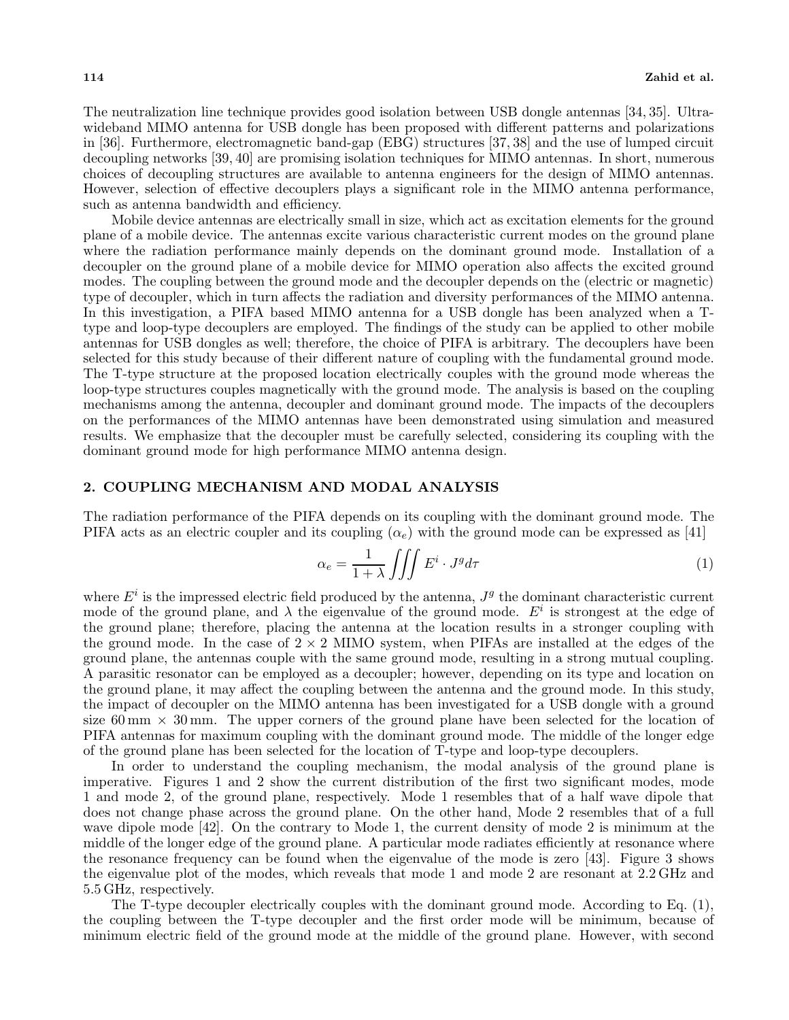The neutralization line technique provides good isolation between USB dongle antennas [34, 35]. Ultrawideband MIMO antenna for USB dongle has been proposed with different patterns and polarizations in [36]. Furthermore, electromagnetic band-gap (EBG) structures [37, 38] and the use of lumped circuit decoupling networks [39, 40] are promising isolation techniques for MIMO antennas. In short, numerous choices of decoupling structures are available to antenna engineers for the design of MIMO antennas. However, selection of effective decouplers plays a significant role in the MIMO antenna performance, such as antenna bandwidth and efficiency.

Mobile device antennas are electrically small in size, which act as excitation elements for the ground plane of a mobile device. The antennas excite various characteristic current modes on the ground plane where the radiation performance mainly depends on the dominant ground mode. Installation of a decoupler on the ground plane of a mobile device for MIMO operation also affects the excited ground modes. The coupling between the ground mode and the decoupler depends on the (electric or magnetic) type of decoupler, which in turn affects the radiation and diversity performances of the MIMO antenna. In this investigation, a PIFA based MIMO antenna for a USB dongle has been analyzed when a Ttype and loop-type decouplers are employed. The findings of the study can be applied to other mobile antennas for USB dongles as well; therefore, the choice of PIFA is arbitrary. The decouplers have been selected for this study because of their different nature of coupling with the fundamental ground mode. The T-type structure at the proposed location electrically couples with the ground mode whereas the loop-type structures couples magnetically with the ground mode. The analysis is based on the coupling mechanisms among the antenna, decoupler and dominant ground mode. The impacts of the decouplers on the performances of the MIMO antennas have been demonstrated using simulation and measured results. We emphasize that the decoupler must be carefully selected, considering its coupling with the dominant ground mode for high performance MIMO antenna design.

## **2. COUPLING MECHANISM AND MODAL ANALYSIS**

The radiation performance of the PIFA depends on its coupling with the dominant ground mode. The PIFA acts as an electric coupler and its coupling  $(\alpha_e)$  with the ground mode can be expressed as [41]

$$
\alpha_e = \frac{1}{1+\lambda} \iiint E^i \cdot J^g d\tau \tag{1}
$$

where  $E^i$  is the impressed electric field produced by the antenna,  $J^g$  the dominant characteristic current mode of the ground plane, and  $\lambda$  the eigenvalue of the ground mode.  $E^i$  is strongest at the edge of the ground plane; therefore, placing the antenna at the location results in a stronger coupling with the ground mode. In the case of  $2 \times 2$  MIMO system, when PIFAs are installed at the edges of the ground plane, the antennas couple with the same ground mode, resulting in a strong mutual coupling. A parasitic resonator can be employed as a decoupler; however, depending on its type and location on the ground plane, it may affect the coupling between the antenna and the ground mode. In this study, the impact of decoupler on the MIMO antenna has been investigated for a USB dongle with a ground size  $60 \text{ mm} \times 30 \text{ mm}$ . The upper corners of the ground plane have been selected for the location of PIFA antennas for maximum coupling with the dominant ground mode. The middle of the longer edge of the ground plane has been selected for the location of T-type and loop-type decouplers.

In order to understand the coupling mechanism, the modal analysis of the ground plane is imperative. Figures 1 and 2 show the current distribution of the first two significant modes, mode 1 and mode 2, of the ground plane, respectively. Mode 1 resembles that of a half wave dipole that does not change phase across the ground plane. On the other hand, Mode 2 resembles that of a full wave dipole mode [42]. On the contrary to Mode 1, the current density of mode 2 is minimum at the middle of the longer edge of the ground plane. A particular mode radiates efficiently at resonance where the resonance frequency can be found when the eigenvalue of the mode is zero [43]. Figure 3 shows the eigenvalue plot of the modes, which reveals that mode 1 and mode 2 are resonant at 2.2 GHz and 5.5 GHz, respectively.

The T-type decoupler electrically couples with the dominant ground mode. According to Eq. (1), the coupling between the T-type decoupler and the first order mode will be minimum, because of minimum electric field of the ground mode at the middle of the ground plane. However, with second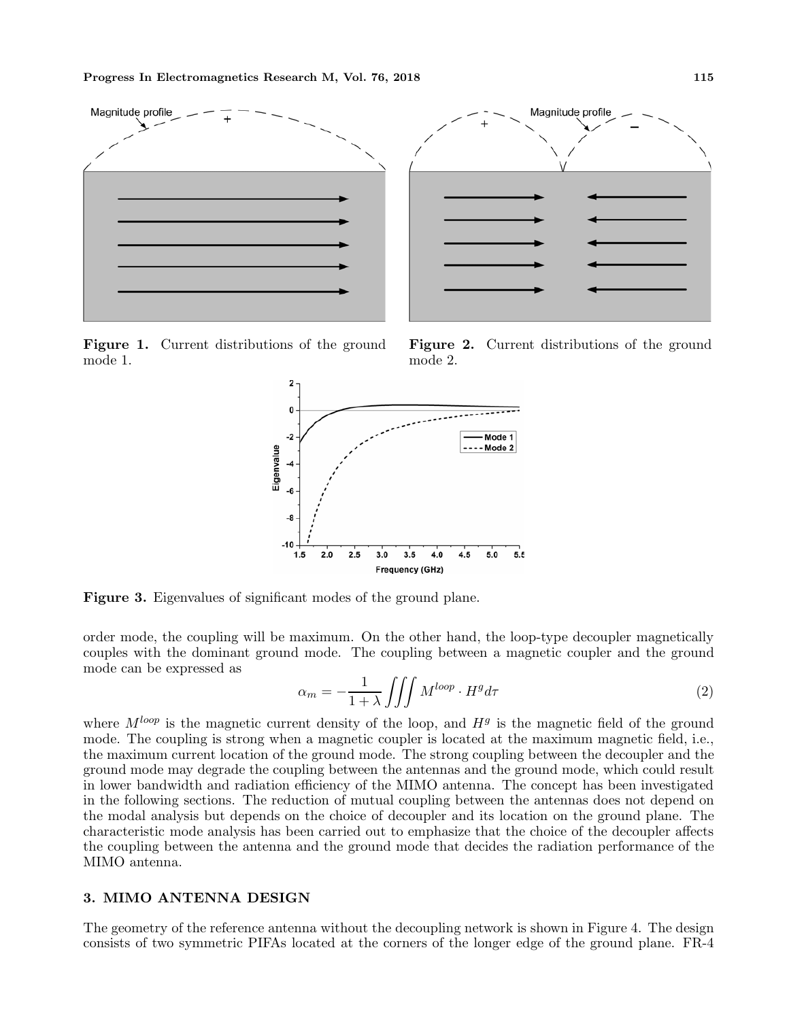

**Figure 1.** Current distributions of the ground mode 1.





**Figure 3.** Eigenvalues of significant modes of the ground plane.

order mode, the coupling will be maximum. On the other hand, the loop-type decoupler magnetically couples with the dominant ground mode. The coupling between a magnetic coupler and the ground mode can be expressed as

$$
\alpha_m = -\frac{1}{1+\lambda} \iiint M^{loop} \cdot H^g d\tau \tag{2}
$$

where  $M^{loop}$  is the magnetic current density of the loop, and  $H^g$  is the magnetic field of the ground mode. The coupling is strong when a magnetic coupler is located at the maximum magnetic field, i.e., the maximum current location of the ground mode. The strong coupling between the decoupler and the ground mode may degrade the coupling between the antennas and the ground mode, which could result in lower bandwidth and radiation efficiency of the MIMO antenna. The concept has been investigated in the following sections. The reduction of mutual coupling between the antennas does not depend on the modal analysis but depends on the choice of decoupler and its location on the ground plane. The characteristic mode analysis has been carried out to emphasize that the choice of the decoupler affects the coupling between the antenna and the ground mode that decides the radiation performance of the MIMO antenna.

## **3. MIMO ANTENNA DESIGN**

The geometry of the reference antenna without the decoupling network is shown in Figure 4. The design consists of two symmetric PIFAs located at the corners of the longer edge of the ground plane. FR-4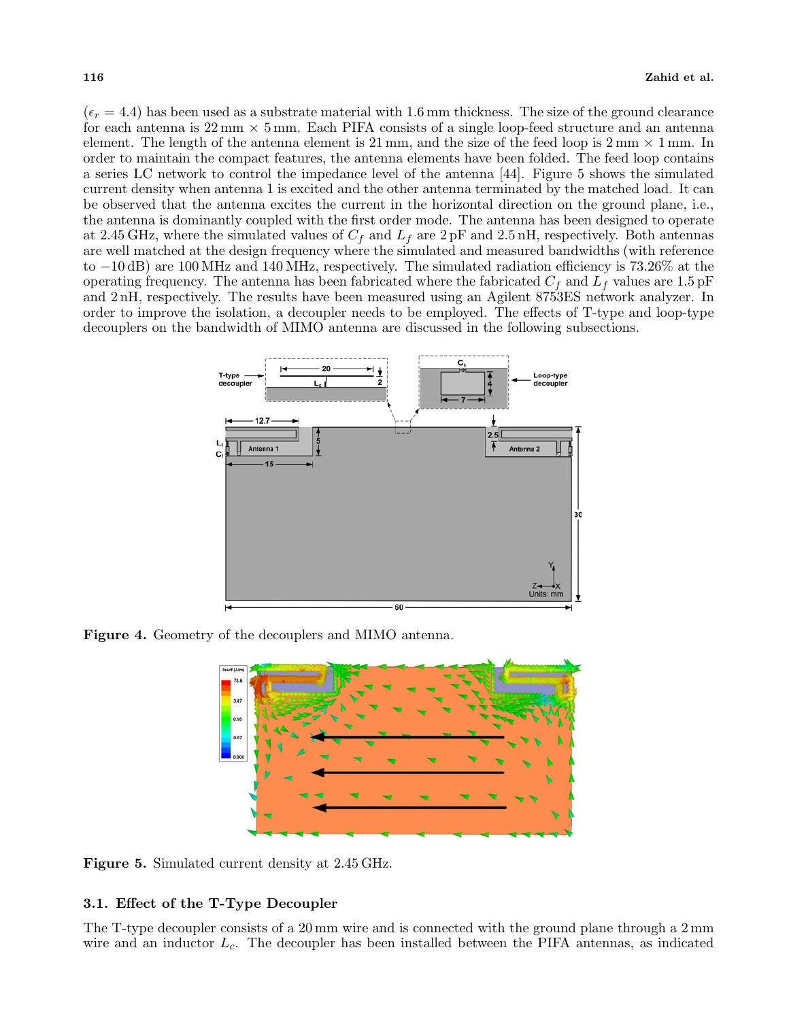$(\epsilon_r = 4.4)$  has been used as a substrate material with 1.6 mm thickness. The size of the ground clearance for each antenna is 22 mm *×* 5 mm. Each PIFA consists of a single loop-feed structure and an antenna element. The length of the antenna element is 21 mm, and the size of the feed loop is 2 mm *×* 1 mm. In order to maintain the compact features, the antenna elements have been folded. The feed loop contains a series LC network to control the impedance level of the antenna [44]. Figure 5 shows the simulated current density when antenna 1 is excited and the other antenna terminated by the matched load. It can be observed that the antenna excites the current in the horizontal direction on the ground plane, i.e., the antenna is dominantly coupled with the first order mode. The antenna has been designed to operate at 2.45 GHz, where the simulated values of  $C_f$  and  $L_f$  are  $2 pF$  and 2.5 nH, respectively. Both antennas are well matched at the design frequency where the simulated and measured bandwidths (with reference to *<sup>−</sup>*10 dB) are 100 MHz and 140 MHz, respectively. The simulated radiation efficiency is 73.26% at the operating frequency. The antenna has been fabricated where the fabricated  $C_f$  and  $L_f$  values are 1.5 pF and 2 nH, respectively. The results have been measured using an Agilent 8753ES network analyzer. In order to improve the isolation, a decoupler needs to be employed. The effects of T-type and loop-type decouplers on the bandwidth of MIMO antenna are discussed in the following subsections.



**Figure 4.** Geometry of the decouplers and MIMO antenna.



**Figure 5.** Simulated current density at 2.45 GHz.

## **3.1. Effect of the T-Type Decoupler**

The T-type decoupler consists of a 20 mm wire and is connected with the ground plane through a 2 mm wire and an inductor  $L_c$ . The decoupler has been installed between the PIFA antennas, as indicated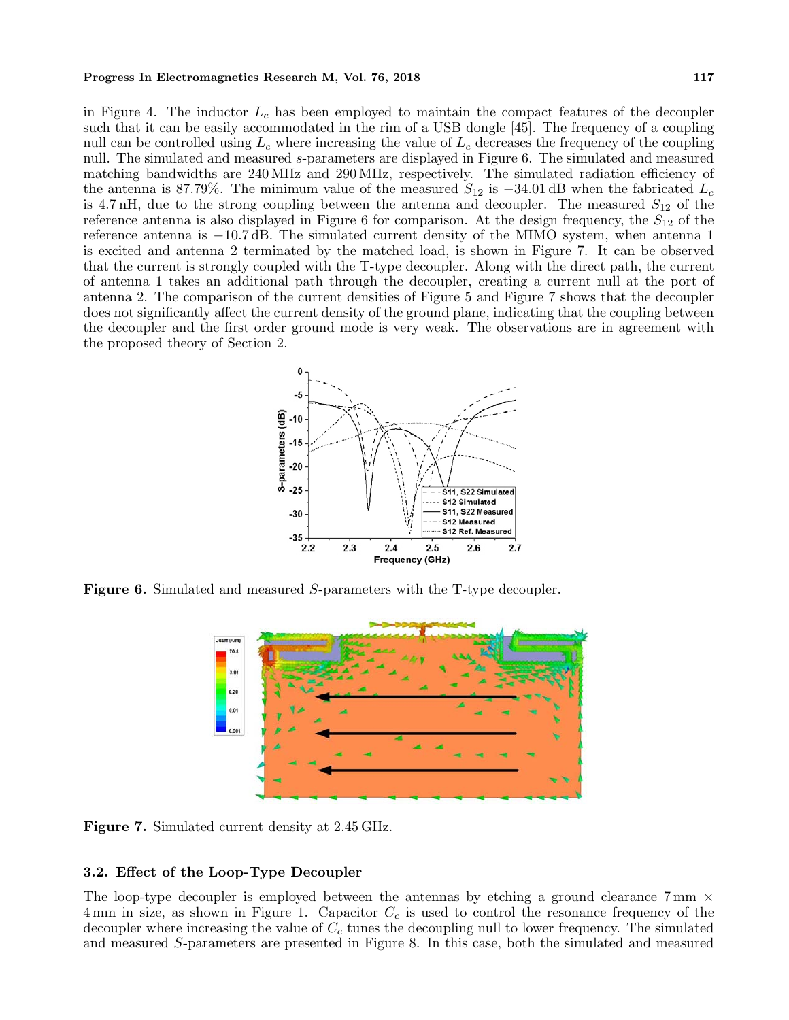#### **Progress In Electromagnetics Research M, Vol. 76, 2018** 117

in Figure 4. The inductor  $L_c$  has been employed to maintain the compact features of the decoupler such that it can be easily accommodated in the rim of a USB dongle [45]. The frequency of a coupling null can be controlled using  $L_c$  where increasing the value of  $L_c$  decreases the frequency of the coupling null. The simulated and measured s-parameters are displayed in Figure 6. The simulated and measured matching bandwidths are 240 MHz and 290 MHz, respectively. The simulated radiation efficiency of the antenna is 87.79%. The minimum value of the measured  $S_{12}$  is  $-34.01$  dB when the fabricated  $L_c$ is 4.7 nH, due to the strong coupling between the antenna and decoupler. The measured  $S_{12}$  of the reference antenna is also displayed in Figure 6 for comparison. At the design frequency, the  $S_{12}$  of the reference antenna is *<sup>−</sup>*10.7 dB. The simulated current density of the MIMO system, when antenna 1 is excited and antenna 2 terminated by the matched load, is shown in Figure 7. It can be observed that the current is strongly coupled with the T-type decoupler. Along with the direct path, the current of antenna 1 takes an additional path through the decoupler, creating a current null at the port of antenna 2. The comparison of the current densities of Figure 5 and Figure 7 shows that the decoupler does not significantly affect the current density of the ground plane, indicating that the coupling between the decoupler and the first order ground mode is very weak. The observations are in agreement with the proposed theory of Section 2.



**Figure 6.** Simulated and measured S-parameters with the T-type decoupler.



**Figure 7.** Simulated current density at 2.45 GHz.

### **3.2. Effect of the Loop-Type Decoupler**

The loop-type decoupler is employed between the antennas by etching a ground clearance 7 mm *×* 4 mm in size, as shown in Figure 1. Capacitor  $C_c$  is used to control the resonance frequency of the decoupler where increasing the value of  $C_c$  tunes the decoupling null to lower frequency. The simulated and measured S-parameters are presented in Figure 8. In this case, both the simulated and measured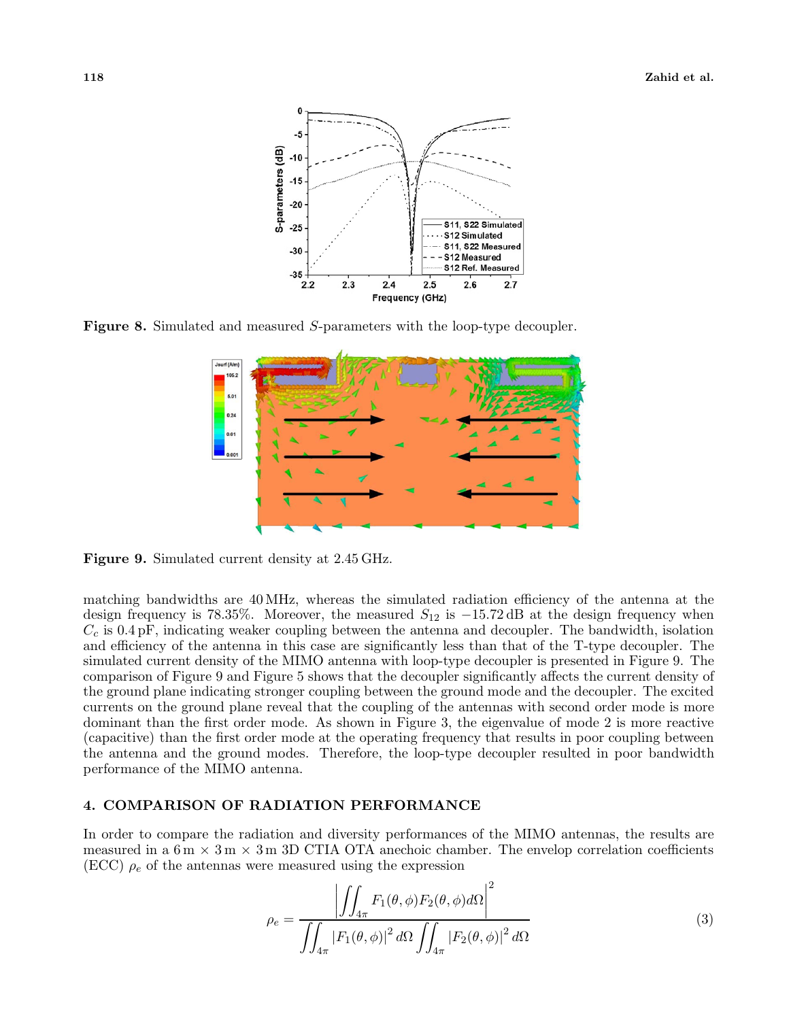

**Figure 8.** Simulated and measured S-parameters with the loop-type decoupler.



**Figure 9.** Simulated current density at 2.45 GHz.

matching bandwidths are 40 MHz, whereas the simulated radiation efficiency of the antenna at the design frequency is 78.35%. Moreover, the measured <sup>S</sup><sup>12</sup> is *<sup>−</sup>*15.72 dB at the design frequency when  $C_c$  is 0.4 pF, indicating weaker coupling between the antenna and decoupler. The bandwidth, isolation and efficiency of the antenna in this case are significantly less than that of the T-type decoupler. The and efficiency of the antenna in this case are significantly less than that of the T-type decoupler. The simulated current density of the MIMO antenna with loop-type decoupler is presented in Figure 9. The comparison of Figure 9 and Figure 5 shows that the decoupler significantly affects the current density of the ground plane indicating stronger coupling between the ground mode and the decoupler. The excited currents on the ground plane reveal that the coupling of the antennas with second order mode is more dominant than the first order mode. As shown in Figure 3, the eigenvalue of mode 2 is more reactive (capacitive) than the first order mode at the operating frequency that results in poor coupling between the antenna and the ground modes. Therefore, the loop-type decoupler resulted in poor bandwidth performance of the MIMO antenna.

# **4. COMPARISON OF RADIATION PERFORMANCE**

In order to compare the radiation and diversity performances of the MIMO antennas, the results are measured in a 6 m *×* 3 m *×* 3 m 3D CTIA OTA anechoic chamber. The envelop correlation coefficients  $(ECC)$   $\rho_e$  of the antennas were measured using the expression

$$
\rho_e = \frac{\left| \iint_{4\pi} F_1(\theta, \phi) F_2(\theta, \phi) d\Omega \right|^2}{\int_{4\pi} |F_1(\theta, \phi)|^2 d\Omega \iint_{4\pi} |F_2(\theta, \phi)|^2 d\Omega} \tag{3}
$$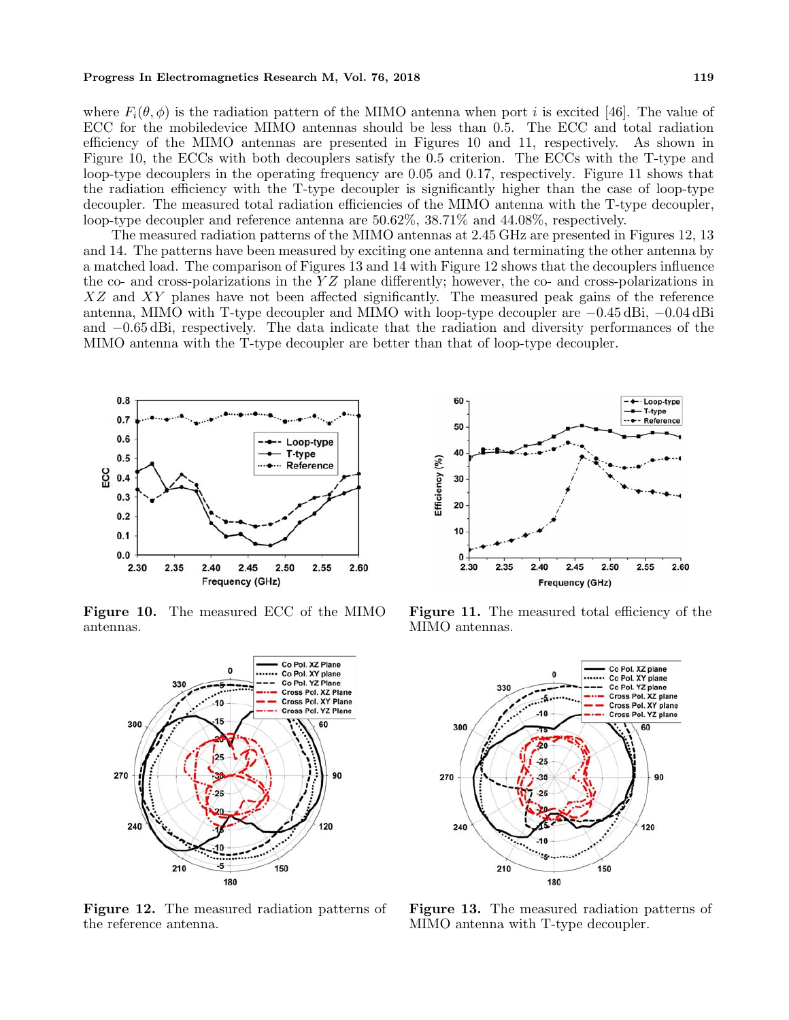#### **Progress In Electromagnetics Research M, Vol. 76, 2018** 119

where  $F_i(\theta, \phi)$  is the radiation pattern of the MIMO antenna when port i is excited [46]. The value of ECC for the mobiledevice MIMO antennas should be less than 0.5. The ECC and total radiation efficiency of the MIMO antennas are presented in Figures 10 and 11, respectively. As shown in Figure 10, the ECCs with both decouplers satisfy the 0.5 criterion. The ECCs with the T-type and loop-type decouplers in the operating frequency are 0.05 and 0.17, respectively. Figure 11 shows that the radiation efficiency with the T-type decoupler is significantly higher than the case of loop-type decoupler. The measured total radiation efficiencies of the MIMO antenna with the T-type decoupler, loop-type decoupler and reference antenna are 50.62%, 38.71% and 44.08%, respectively.

The measured radiation patterns of the MIMO antennas at 2.45 GHz are presented in Figures 12, 13 and 14. The patterns have been measured by exciting one antenna and terminating the other antenna by a matched load. The comparison of Figures 13 and 14 with Figure 12 shows that the decouplers influence the co- and cross-polarizations in the  $YZ$  plane differently; however, the co- and cross-polarizations in XZ and XY planes have not been affected significantly. The measured peak gains of the reference antenna, MIMO with T-type decoupler and MIMO with loop-type decoupler are *<sup>−</sup>*0.45 dBi, *<sup>−</sup>*0.04 dBi and *<sup>−</sup>*0.65 dBi, respectively. The data indicate that the radiation and diversity performances of the MIMO antenna with the T-type decoupler are better than that of loop-type decoupler.



**Figure 10.** The measured ECC of the MIMO antennas.



**Figure 12.** The measured radiation patterns of the reference antenna.



**Figure 11.** The measured total efficiency of the MIMO antennas.



**Figure 13.** The measured radiation patterns of MIMO antenna with T-type decoupler.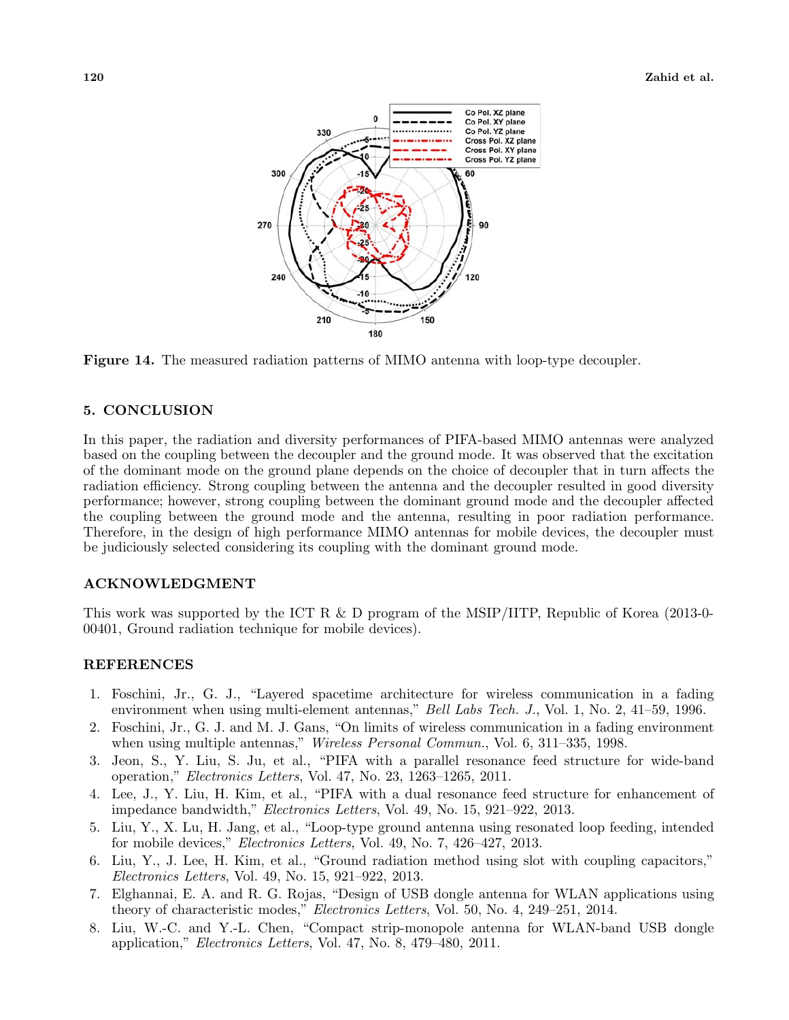

**Figure 14.** The measured radiation patterns of MIMO antenna with loop-type decoupler.

## **5. CONCLUSION**

In this paper, the radiation and diversity performances of PIFA-based MIMO antennas were analyzed based on the coupling between the decoupler and the ground mode. It was observed that the excitation of the dominant mode on the ground plane depends on the choice of decoupler that in turn affects the radiation efficiency. Strong coupling between the antenna and the decoupler resulted in good diversity performance; however, strong coupling between the dominant ground mode and the decoupler affected the coupling between the ground mode and the antenna, resulting in poor radiation performance. Therefore, in the design of high performance MIMO antennas for mobile devices, the decoupler must be judiciously selected considering its coupling with the dominant ground mode.

## **ACKNOWLEDGMENT**

This work was supported by the ICT R & D program of the MSIP/IITP, Republic of Korea (2013-0- 00401, Ground radiation technique for mobile devices).

# **REFERENCES**

- 1. Foschini, Jr., G. J., "Layered spacetime architecture for wireless communication in a fading environment when using multi-element antennas," *Bell Labs Tech. J.*, Vol. 1, No. 2, 41–59, 1996.
- 2. Foschini, Jr., G. J. and M. J. Gans, "On limits of wireless communication in a fading environment when using multiple antennas," *Wireless Personal Commun.*, Vol. 6, 311–335, 1998.
- 3. Jeon, S., Y. Liu, S. Ju, et al., "PIFA with a parallel resonance feed structure for wide-band operation," *Electronics Letters*, Vol. 47, No. 23, 1263–1265, 2011.
- 4. Lee, J., Y. Liu, H. Kim, et al., "PIFA with a dual resonance feed structure for enhancement of impedance bandwidth," *Electronics Letters*, Vol. 49, No. 15, 921–922, 2013.
- 5. Liu, Y., X. Lu, H. Jang, et al., "Loop-type ground antenna using resonated loop feeding, intended for mobile devices," *Electronics Letters*, Vol. 49, No. 7, 426–427, 2013.
- 6. Liu, Y., J. Lee, H. Kim, et al., "Ground radiation method using slot with coupling capacitors," *Electronics Letters*, Vol. 49, No. 15, 921–922, 2013.
- 7. Elghannai, E. A. and R. G. Rojas, "Design of USB dongle antenna for WLAN applications using theory of characteristic modes," *Electronics Letters*, Vol. 50, No. 4, 249–251, 2014.
- 8. Liu, W.-C. and Y.-L. Chen, "Compact strip-monopole antenna for WLAN-band USB dongle application," *Electronics Letters*, Vol. 47, No. 8, 479–480, 2011.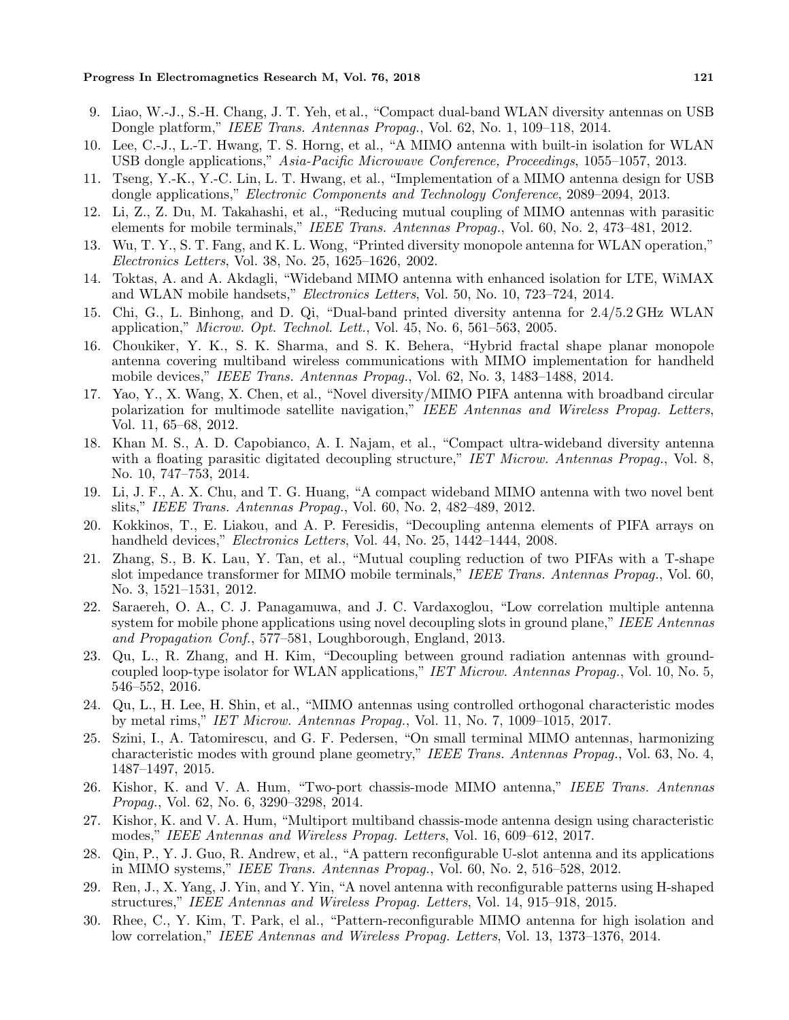- 9. Liao, W.-J., S.-H. Chang, J. T. Yeh, et al., "Compact dual-band WLAN diversity antennas on USB Dongle platform," *IEEE Trans. Antennas Propag.*, Vol. 62, No. 1, 109–118, 2014.
- 10. Lee, C.-J., L.-T. Hwang, T. S. Horng, et al., "A MIMO antenna with built-in isolation for WLAN USB dongle applications," *Asia-Pacific Microwave Conference, Proceedings*, 1055–1057, 2013.
- 11. Tseng, Y.-K., Y.-C. Lin, L. T. Hwang, et al., "Implementation of a MIMO antenna design for USB dongle applications," *Electronic Components and Technology Conference*, 2089–2094, 2013.
- 12. Li, Z., Z. Du, M. Takahashi, et al., "Reducing mutual coupling of MIMO antennas with parasitic elements for mobile terminals," *IEEE Trans. Antennas Propag.*, Vol. 60, No. 2, 473–481, 2012.
- 13. Wu, T. Y., S. T. Fang, and K. L. Wong, "Printed diversity monopole antenna for WLAN operation," *Electronics Letters*, Vol. 38, No. 25, 1625–1626, 2002.
- 14. Toktas, A. and A. Akdagli, "Wideband MIMO antenna with enhanced isolation for LTE, WiMAX and WLAN mobile handsets," *Electronics Letters*, Vol. 50, No. 10, 723–724, 2014.
- 15. Chi, G., L. Binhong, and D. Qi, "Dual-band printed diversity antenna for 2.4/5.2 GHz WLAN application," *Microw. Opt. Technol. Lett.*, Vol. 45, No. 6, 561–563, 2005.
- 16. Choukiker, Y. K., S. K. Sharma, and S. K. Behera, "Hybrid fractal shape planar monopole antenna covering multiband wireless communications with MIMO implementation for handheld mobile devices," *IEEE Trans. Antennas Propag.*, Vol. 62, No. 3, 1483–1488, 2014.
- 17. Yao, Y., X. Wang, X. Chen, et al., "Novel diversity/MIMO PIFA antenna with broadband circular polarization for multimode satellite navigation," *IEEE Antennas and Wireless Propag. Letters*, Vol. 11, 65–68, 2012.
- 18. Khan M. S., A. D. Capobianco, A. I. Najam, et al., "Compact ultra-wideband diversity antenna with a floating parasitic digitated decoupling structure," *IET Microw. Antennas Propag.*, Vol. 8, No. 10, 747–753, 2014.
- 19. Li, J. F., A. X. Chu, and T. G. Huang, "A compact wideband MIMO antenna with two novel bent slits," *IEEE Trans. Antennas Propag.*, Vol. 60, No. 2, 482–489, 2012.
- 20. Kokkinos, T., E. Liakou, and A. P. Feresidis, "Decoupling antenna elements of PIFA arrays on handheld devices," *Electronics Letters*, Vol. 44, No. 25, 1442–1444, 2008.
- 21. Zhang, S., B. K. Lau, Y. Tan, et al., "Mutual coupling reduction of two PIFAs with a T-shape slot impedance transformer for MIMO mobile terminals," *IEEE Trans. Antennas Propag.*, Vol. 60, No. 3, 1521–1531, 2012.
- 22. Saraereh, O. A., C. J. Panagamuwa, and J. C. Vardaxoglou, "Low correlation multiple antenna system for mobile phone applications using novel decoupling slots in ground plane," *IEEE Antennas and Propagation Conf.*, 577–581, Loughborough, England, 2013.
- 23. Qu, L., R. Zhang, and H. Kim, "Decoupling between ground radiation antennas with groundcoupled loop-type isolator for WLAN applications," *IET Microw. Antennas Propag.*, Vol. 10, No. 5, 546–552, 2016.
- 24. Qu, L., H. Lee, H. Shin, et al., "MIMO antennas using controlled orthogonal characteristic modes by metal rims," *IET Microw. Antennas Propag.*, Vol. 11, No. 7, 1009–1015, 2017.
- 25. Szini, I., A. Tatomirescu, and G. F. Pedersen, "On small terminal MIMO antennas, harmonizing characteristic modes with ground plane geometry," *IEEE Trans. Antennas Propag.*, Vol. 63, No. 4, 1487–1497, 2015.
- 26. Kishor, K. and V. A. Hum, "Two-port chassis-mode MIMO antenna," *IEEE Trans. Antennas Propag.*, Vol. 62, No. 6, 3290–3298, 2014.
- 27. Kishor, K. and V. A. Hum, "Multiport multiband chassis-mode antenna design using characteristic modes," *IEEE Antennas and Wireless Propag. Letters*, Vol. 16, 609–612, 2017.
- 28. Qin, P., Y. J. Guo, R. Andrew, et al., "A pattern reconfigurable U-slot antenna and its applications in MIMO systems," *IEEE Trans. Antennas Propag.*, Vol. 60, No. 2, 516–528, 2012.
- 29. Ren, J., X. Yang, J. Yin, and Y. Yin, "A novel antenna with reconfigurable patterns using H-shaped structures," *IEEE Antennas and Wireless Propag. Letters*, Vol. 14, 915–918, 2015.
- 30. Rhee, C., Y. Kim, T. Park, el al., "Pattern-reconfigurable MIMO antenna for high isolation and low correlation," *IEEE Antennas and Wireless Propag. Letters*, Vol. 13, 1373–1376, 2014.